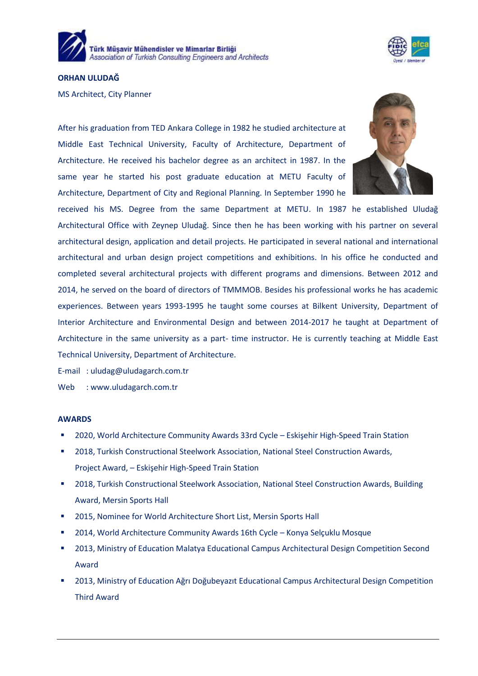



## **ORHAN ULUDAĞ**

MS Architect, City Planner

After his graduation from TED Ankara College in 1982 he studied architecture at Middle East Technical University, Faculty of Architecture, Department of Architecture. He received his bachelor degree as an architect in 1987. In the same year he started his post graduate education at METU Faculty of Architecture, Department of City and Regional Planning. In September 1990 he



received his MS. Degree from the same Department at METU. In 1987 he established Uludağ Architectural Office with Zeynep Uludağ. Since then he has been working with his partner on several architectural design, application and detail projects. He participated in several national and international architectural and urban design project competitions and exhibitions. In his office he conducted and completed several architectural projects with different programs and dimensions. Between 2012 and 2014, he served on the board of directors of TMMMOB. Besides his professional works he has academic experiences. Between years 1993-1995 he taught some courses at Bilkent University, Department of Interior Architecture and Environmental Design and between 2014-2017 he taught at Department of Architecture in the same university as a part- time instructor. He is currently teaching at Middle East Technical University, Department of Architecture.

E-mail : [uludag@uludagarch.com.tr](mailto:uludag@uludagarch.com.tr)

Web : www.uludagarch.com.tr

## **AWARDS**

- 2020, World Architecture Community Awards 33rd Cycle Eskişehir High-Speed Train Station
- 2018, Turkish Constructional Steelwork Association, National Steel Construction Awards, Project Award, – Eskişehir High-Speed Train Station
- 2018, Turkish Constructional Steelwork Association, National Steel Construction Awards, Building Award, Mersin Sports Hall
- 2015, Nominee for World Architecture Short List, Mersin Sports Hall
- 2014, World Architecture Community Awards 16th Cycle Konya Selçuklu Mosque
- 2013, Ministry of Education Malatya Educational Campus Architectural Design Competition Second Award
- 2013, Ministry of Education Ağrı Doğubeyazıt Educational Campus Architectural Design Competition Third Award